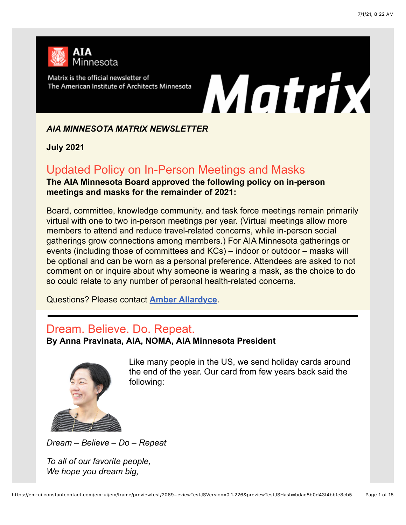

Matrix is the official newsletter of The American Institute of Architects Minnesota

# Matrix

*AIA MINNESOTA MATRIX NEWSLETTER*

**July 2021**

# Updated Policy on In-Person Meetings and Masks

**The AIA Minnesota Board approved the following policy on in-person meetings and masks for the remainder of 2021:**

Board, committee, knowledge community, and task force meetings remain primarily virtual with one to two in-person meetings per year. (Virtual meetings allow more members to attend and reduce travel-related concerns, while in-person social gatherings grow connections among members.) For AIA Minnesota gatherings or events (including those of committees and KCs) – indoor or outdoor – masks will be optional and can be worn as a personal preference. Attendees are asked to not comment on or inquire about why someone is wearing a mask, as the choice to do so could relate to any number of personal health-related concerns.

Questions? Please contact **[Amber Allardyce](mailto:allardyce@aia-mn.org)**.

# Dream. Believe. Do. Repeat.

**By Anna Pravinata, AIA, NOMA, AIA Minnesota President**



Like many people in the US, we send holiday cards around the end of the year. Our card from few years back said the following:

*Dream – Believe – Do – Repeat*

*To all of our favorite people, We hope you dream big,*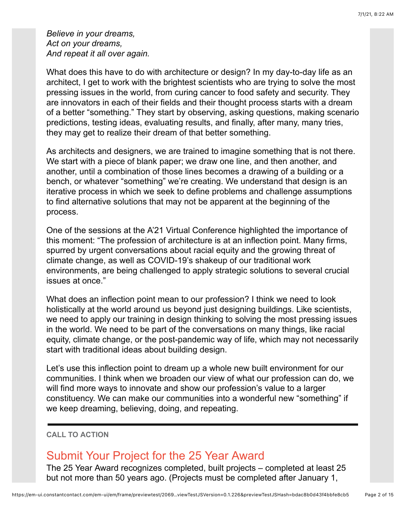*Believe in your dreams, Act on your dreams, And repeat it all over again.*

What does this have to do with architecture or design? In my day-to-day life as an architect, I get to work with the brightest scientists who are trying to solve the most pressing issues in the world, from curing cancer to food safety and security. They are innovators in each of their fields and their thought process starts with a dream of a better "something." They start by observing, asking questions, making scenario predictions, testing ideas, evaluating results, and finally, after many, many tries, they may get to realize their dream of that better something.

As architects and designers, we are trained to imagine something that is not there. We start with a piece of blank paper; we draw one line, and then another, and another, until a combination of those lines becomes a drawing of a building or a bench, or whatever "something" we're creating. We understand that design is an iterative process in which we seek to define problems and challenge assumptions to find alternative solutions that may not be apparent at the beginning of the process.

One of the sessions at the A'21 Virtual Conference highlighted the importance of this moment: "The profession of architecture is at an inflection point. Many firms, spurred by urgent conversations about racial equity and the growing threat of climate change, as well as COVID-19's shakeup of our traditional work environments, are being challenged to apply strategic solutions to several crucial issues at once."

What does an inflection point mean to our profession? I think we need to look holistically at the world around us beyond just designing buildings. Like scientists, we need to apply our training in design thinking to solving the most pressing issues in the world. We need to be part of the conversations on many things, like racial equity, climate change, or the post-pandemic way of life, which may not necessarily start with traditional ideas about building design.

Let's use this inflection point to dream up a whole new built environment for our communities. I think when we broaden our view of what our profession can do, we will find more ways to innovate and show our profession's value to a larger constituency. We can make our communities into a wonderful new "something" if we keep dreaming, believing, doing, and repeating.

# **CALL TO ACTION**

# Submit Your Project for the 25 Year Award

The 25 Year Award recognizes completed, built projects – completed at least 25 but not more than 50 years ago. (Projects must be completed after January 1,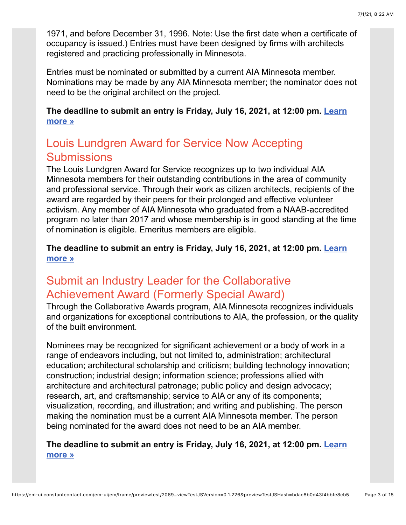1971, and before December 31, 1996. Note: Use the first date when a certificate of occupancy is issued.) Entries must have been designed by firms with architects registered and practicing professionally in Minnesota.

Entries must be nominated or submitted by a current AIA Minnesota member. Nominations may be made by any AIA Minnesota member; the nominator does not need to be the original architect on the project.

# **[The deadline to submit an entry is Friday, July 16, 2021, at 12:00 pm.](https://www.aia-mn.org/get-involved/aia-minnesota-awards/25-year-award/) Learn more »**

# Louis Lundgren Award for Service Now Accepting Submissions

The Louis Lundgren Award for Service recognizes up to two individual AIA Minnesota members for their outstanding contributions in the area of community and professional service. Through their work as citizen architects, recipients of the award are regarded by their peers for their prolonged and effective volunteer activism. Any member of AIA Minnesota who graduated from a NAAB-accredited program no later than 2017 and whose membership is in good standing at the time of nomination is eligible. Emeritus members are eligible.

# **[The deadline to submit an entry is Friday, July 16, 2021, at 12:00 pm.](https://www.aia-mn.org/get-involved/aia-minnesota-awards/louis-lundgren-award/) Learn more »**

# Submit an Industry Leader for the Collaborative Achievement Award (Formerly Special Award)

Through the Collaborative Awards program, AIA Minnesota recognizes individuals and organizations for exceptional contributions to AIA, the profession, or the quality of the built environment.

Nominees may be recognized for significant achievement or a body of work in a range of endeavors including, but not limited to, administration; architectural education; architectural scholarship and criticism; building technology innovation; construction; industrial design; information science; professions allied with architecture and architectural patronage; public policy and design advocacy; research, art, and craftsmanship; service to AIA or any of its components; visualization, recording, and illustration; and writing and publishing. The person making the nomination must be a current AIA Minnesota member. The person being nominated for the award does not need to be an AIA member.

# **[The deadline to submit an entry is Friday, July 16, 2021, at 12:00 pm.](https://www.aia-mn.org/get-involved/aia-minnesota-awards/collaborative-achievement-awards/) Learn more »**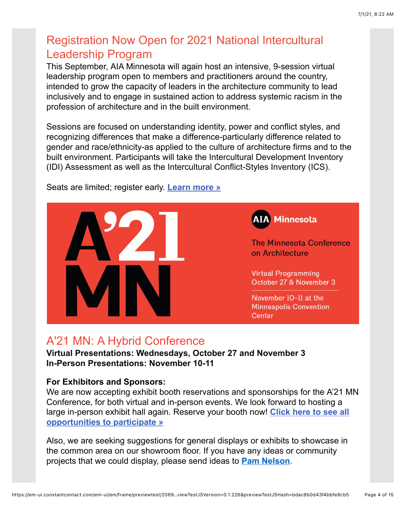# Registration Now Open for 2021 National Intercultural Leadership Program

This September, AIA Minnesota will again host an intensive, 9-session virtual leadership program open to members and practitioners around the country, intended to grow the capacity of leaders in the architecture community to lead inclusively and to engage in sustained action to address systemic racism in the profession of architecture and in the built environment.

Sessions are focused on understanding identity, power and conflict styles, and recognizing differences that make a difference-particularly difference related to gender and race/ethnicity-as applied to the culture of architecture firms and to the built environment. Participants will take the Intercultural Development Inventory (IDI) Assessment as well as the Intercultural Conflict-Styles Inventory (ICS).



Seats are limited; register early. **[Learn more »](https://www.aia-mn.org/event/nilp2021/)**

# A'21 MN: A Hybrid Conference

# **Virtual Presentations: Wednesdays, October 27 and November 3 In-Person Presentations: November 10-11**

# **For Exhibitors and Sponsors:**

We are now accepting exhibit booth reservations and sponsorships for the A'21 MN Conference, for both virtual and in-person events. We look forward to hosting a [large in-person exhibit hall again. Reserve your booth now!](https://www.aia-mn.org/events/conference/exhibit-sponsor/) **Click here to see all opportunities to participate »**

Also, we are seeking suggestions for general displays or exhibits to showcase in the common area on our showroom floor. If you have any ideas or community projects that we could display, please send ideas to **[Pam Nelson](mailto:nelson@aia-mn.org)**.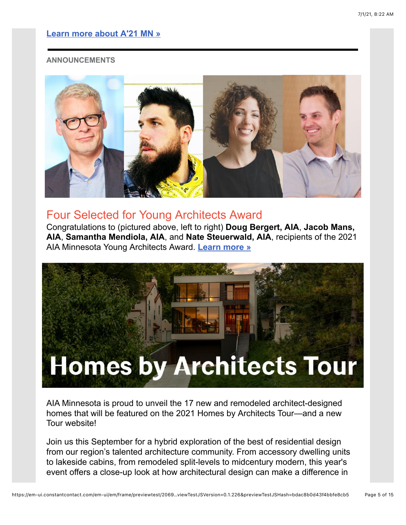## **ANNOUNCEMENTS**



# Four Selected for Young Architects Award

Congratulations to (pictured above, left to right) **Doug Bergert, AIA**, **Jacob Mans, AIA**, **Samantha Mendiola, AIA**, and **Nate Steuerwald, AIA**, recipients of the 2021 AIA Minnesota Young Architects Award. **[Learn more »](https://www.aia-mn.org/mn-young-architect-2021/)**



AIA Minnesota is proud to unveil the 17 new and remodeled architect-designed homes that will be featured on the 2021 Homes by Architects Tour—and a new Tour website!

Join us this September for a hybrid exploration of the best of residential design from our region's talented architecture community. From accessory dwelling units to lakeside cabins, from remodeled split-levels to midcentury modern, this year's event offers a close-up look at how architectural design can make a difference in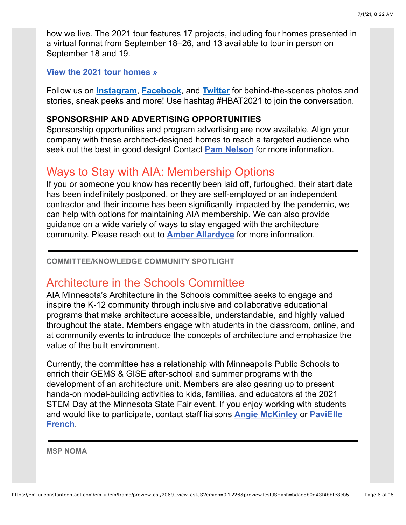how we live. The 2021 tour features 17 projects, including four homes presented in a virtual format from September 18–26, and 13 available to tour in person on September 18 and 19.

## **[View the 2021 tour homes »](https://www.homesbyarchitects.org/)**

Follow us on **[Instagram](https://www.instagram.com/homes_by_architects_mn/)**, **[Facebook](https://www.facebook.com/hbatour)**, and **[Twitter](https://twitter.com/homes_tour)** for behind-the-scenes photos and stories, sneak peeks and more! Use hashtag #HBAT2021 to join the conversation.

## **SPONSORSHIP AND ADVERTISING OPPORTUNITIES**

Sponsorship opportunities and program advertising are now available. Align your company with these architect-designed homes to reach a targeted audience who seek out the best in good design! Contact **[Pam Nelson](mailto:nelson@aia-mn.org)** for more information.

# Ways to Stay with AIA: Membership Options

If you or someone you know has recently been laid off, furloughed, their start date has been indefinitely postponed, or they are self-employed or an independent contractor and their income has been significantly impacted by the pandemic, we can help with options for maintaining AIA membership. We can also provide guidance on a wide variety of ways to stay engaged with the architecture community. Please reach out to **[Amber Allardyce](mailto:allardyce@aia-mn.org)** for more information.

**COMMITTEE/KNOWLEDGE COMMUNITY SPOTLIGHT**

# Architecture in the Schools Committee

AIA Minnesota's Architecture in the Schools committee seeks to engage and inspire the K-12 community through inclusive and collaborative educational programs that make architecture accessible, understandable, and highly valued throughout the state. Members engage with students in the classroom, online, and at community events to introduce the concepts of architecture and emphasize the value of the built environment.

Currently, the committee has a relationship with Minneapolis Public Schools to enrich their GEMS & GISE after-school and summer programs with the development of an architecture unit. Members are also gearing up to present hands-on model-building activities to kids, families, and educators at the 2021 STEM Day at the Minnesota State Fair event. If you enjoy working with students [and would like to participate, contact staff liaisons](mailto:french@aia-mn.org) **[Angie McKinley](mailto:mckinley@aia-mn.org)** or **PaviElle French**.

**MSP NOMA**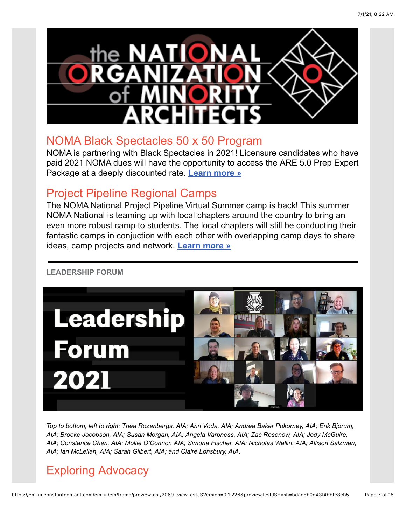

# NOMA Black Spectacles 50 x 50 Program

NOMA is partnering with Black Spectacles in 2021! Licensure candidates who have paid 2021 NOMA dues will have the opportunity to access the ARE 5.0 Prep Expert Package at a deeply discounted rate. **[Learn more »](https://www.noma.net/black-spectacles-50x50/)**

# Project Pipeline Regional Camps

The NOMA National Project Pipeline Virtual Summer camp is back! This summer NOMA National is teaming up with local chapters around the country to bring an even more robust camp to students. The local chapters will still be conducting their fantastic camps in conjuction with each other with overlapping camp days to share ideas, camp projects and network. **[Learn more »](https://www.noma.net/project-pipeline/)**

# **LEADERSHIP FORUM**



*Top to bottom, left to right: Thea Rozenbergs, AIA; Ann Voda, AIA; Andrea Baker Pokorney, AIA; Erik Bjorum, AIA; Brooke Jacobson, AIA; Susan Morgan, AIA; Angela Varpness, AIA; Zac Rosenow, AIA; Jody McGuire, AIA; Constance Chen, AIA; Mollie O'Connor, AIA; Simona Fischer, AIA; Nicholas Wallin, AIA; Allison Salzman, AIA; Ian McLellan, AIA; Sarah Gilbert, AIA; and Claire Lonsbury, AIA.*

# Exploring Advocacy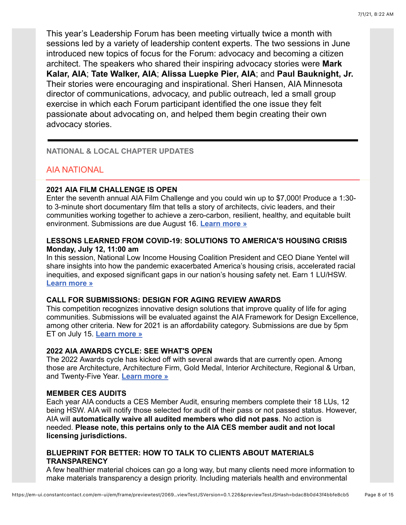This year's Leadership Forum has been meeting virtually twice a month with sessions led by a variety of leadership content experts. The two sessions in June introduced new topics of focus for the Forum: advocacy and becoming a citizen architect. The speakers who shared their inspiring advocacy stories were **Mark Kalar, AIA**; **Tate Walker, AIA**; **Alissa Luepke Pier, AIA**; and **Paul Bauknight, Jr.** Their stories were encouraging and inspirational. Sheri Hansen, AIA Minnesota director of communications, advocacy, and public outreach, led a small group exercise in which each Forum participant identified the one issue they felt passionate about advocating on, and helped them begin creating their own advocacy stories.

## **NATIONAL & LOCAL CHAPTER UPDATES**

# AIA NATIONAL

## **2021 AIA FILM CHALLENGE IS OPEN**

Enter the seventh annual AIA Film Challenge and you could win up to \$7,000! Produce a 1:30 to 3-minute short documentary film that tells a story of architects, civic leaders, and their communities working together to achieve a zero-carbon, resilient, healthy, and equitable built environment. Submissions are due August 16. **[Learn more »](https://aiafilmchallenge.org/?utm_source=MarketingCloud&utm_medium=email&utm_campaign=Component+Relations+-+20210616&utm_content=Learn+more+%26amp%3bgt%3b)**

#### **LESSONS LEARNED FROM COVID-19: SOLUTIONS TO AMERICA'S HOUSING CRISIS Monday, July 12, 11:00 am**

In this session, National Low Income Housing Coalition President and CEO Diane Yentel will share insights into how the pandemic exacerbated America's housing crisis, accelerated racial inequities, and exposed significant gaps in our nation's housing safety net. Earn 1 LU/HSW. **[Learn more »](https://network.aia.org/events/event-description?CalendarEventKey=db45e362-1fa7-4baf-8ccc-be629daedc92&utm_source=MarketingCloud&utm_medium=email&utm_campaign=Component+Relations+-+20210602&utm_content=https%3a%2f%2fnetwork.aia.org%2fevents%2fevent-description%3fCalendarEventKey%3ddb45e362-1fa7-4baf-8ccc-be629daedc92)**

#### **CALL FOR SUBMISSIONS: DESIGN FOR AGING REVIEW AWARDS**

This competition recognizes innovative design solutions that improve quality of life for aging communities. Submissions will be evaluated against the AIA Framework for Design Excellence, among other criteria. New for 2021 is an affordability category. Submissions are due by 5pm ET on July 15. **[Learn more »](https://www.aia.org/awards/7306-design-for-aging-review-awards-program?utm_source=component-update&utm_medium=sfmc&utm_campaign=dfar_2021&utm_source=MarketingCloud&utm_medium=email&utm_campaign=Component+Relations+-+20210602&utm_content=https%3a%2f%2fwww.aia.org%2fawards%2f7306-design-for-aging-review-awards-program%3futm_source%3dcomponent-update%26utm_medium%3dsfmc%26utm_campaign%3ddfar_2021)**

#### **2022 AIA AWARDS CYCLE: SEE WHAT'S OPEN**

The 2022 Awards cycle has kicked off with several awards that are currently open. Among those are Architecture, Architecture Firm, Gold Medal, Interior Architecture, Regional & Urban, and Twenty-Five Year. **[Learn more »](https://www.aia.org/pages/11531-award-submissions?utm_source=MarketingCloud&utm_medium=email&utm_campaign=Component+Relations+-+20210513_102752&utm_content=Learn+more+%26amp%3bgt%3b)**

#### **MEMBER CES AUDITS**

Each year AIA conducts a CES Member Audit, ensuring members complete their 18 LUs, 12 being HSW. AIA will notify those selected for audit of their pass or not passed status. However, AIA will **automatically waive all audited members who did not pass**. No action is needed. **Please note, this pertains only to the AIA CES member audit and not local licensing jurisdictions.**

#### **BLUEPRINT FOR BETTER: HOW TO TALK TO CLIENTS ABOUT MATERIALS TRANSPARENCY**

A few healthier material choices can go a long way, but many clients need more information to make materials transparency a design priority. Including materials health and environmental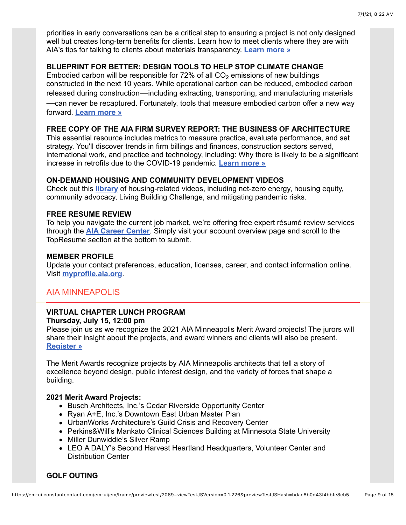priorities in early conversations can be a critical step to ensuring a project is not only designed well but creates long-term benefits for clients. Learn how to meet clients where they are with AIA's tips for talking to clients about materials transparency. **[Learn more »](https://www.aia.org/articles/210821-how-to-talk-to-clients-about-materials-tran/?utm_source=real-magnet&utm_medium=email&utm_campaign=bp4b21-stop-climate-change)**

## **BLUEPRINT FOR BETTER: DESIGN TOOLS TO HELP STOP CLIMATE CHANGE**

Embodied carbon will be responsible for 72% of all  $CO<sub>2</sub>$  emissions of new buildings constructed in the next 10 years. While operational carbon can be reduced, embodied carbon released during construction—including extracting, transporting, and manufacturing materials —can never be recaptured. Fortunately, tools that measure embodied carbon offer a new way forward. **[Learn more »](https://blueprintforbetter.org/articles/design-resources-to-help-stop-climate-change/?utm_source=real-magnet&utm_medium=email&utm_campaign=bp4b21-stop-climate-change)**

#### **FREE COPY OF THE AIA FIRM SURVEY REPORT: THE BUSINESS OF ARCHITECTURE**

This essential resource includes metrics to measure practice, evaluate performance, and set strategy. You'll discover trends in firm billings and finances, construction sectors served, international work, and practice and technology, including: Why there is likely to be a significant increase in retrofits due to the COVID-19 pandemic. **[Learn more »](https://joinus.aia.org/business-intelligence/free-copy-of-the-aia-member-firm-survey-report/?utm_source=real-magnet&utm_medium=email&utm_campaign=research20-firm-survey-2020)**

#### **ON-DEMAND HOUSING AND COMMUNITY DEVELOPMENT VIDEOS**

Check out this **[library](https://www.gotostage.com/channel/89318bd279044da89203e084b39f6b5b)** of housing-related videos, including net-zero energy, housing equity, community advocacy, Living Building Challenge, and mitigating pandemic risks.

#### **FREE RESUME REVIEW**

To help you navigate the current job market, we're offering free expert résumé review services through the **[AIA Career Center](http://send.aia.org/link.cfm?r=GkAXld6motwttqrnsfsElQ~~&pe=5ToIXQJOcpCtwyP2ISdgodrB_TlfP6_CeCx61hLgXqDojcr_swEGL3bRrc7hFZQG-8xmIB2hZe6IVvUQcTLDug~~&t=IE64-IfBPj8SLzuPPeFd2Q~~)**. Simply visit your account overview page and scroll to the TopResume section at the bottom to submit.

#### **MEMBER PROFILE**

Update your contact preferences, education, licenses, career, and contact information online. Visit **[myprofile.aia.org](http://r20.rs6.net/tn.jsp?f=001u6YgE6FFSPxRYzbSxAr_Unr31sDDwiNOuMUOF3vjYd60-FtuNwQJKy86agM2R7wfjtLI7wjUFu9QLavtelfL5MXTbHGh-7-wRH8pxO3uLnZIdaSrMaX1HD4meZvwgIJmT7zJxDWJYII5DAoqiaiej91T9wdLOuI5rbtDoCLraEdLczeRnu6Stg==&c=JlxxpTw9Dyp0NcgYlcarSvaF9IEvCG7f9UaOJdrWQeMNlNhtGRaUiQ==&ch=ezCr-4h9tW8jaQXTLwRLX4K1pO37H26ApLPde-0cTqTusavDgI1eWA==)**.

## AIA MINNEAPOLIS

# **VIRTUAL CHAPTER LUNCH PROGRAM**

#### **Thursday, July 15, 12:00 pm**

Please join us as we recognize the 2021 AIA Minneapolis Merit Award projects! The jurors will share their insight about the projects, and award winners and clients will also be present. **[Register »](https://us02web.zoom.us/webinar/register/WN_VyRP6OI6SXGW3oCnIdPKWg)**

The Merit Awards recognize projects by AIA Minneapolis architects that tell a story of excellence beyond design, public interest design, and the variety of forces that shape a building.

#### **2021 Merit Award Projects:**

- Busch Architects, Inc.'s Cedar Riverside Opportunity Center
- Ryan A+E, Inc.'s Downtown East Urban Master Plan
- UrbanWorks Architecture's Guild Crisis and Recovery Center
- Perkins&Will's Mankato Clinical Sciences Building at Minnesota State University
- Miller Dunwiddie's Silver Ramp
- LEO A DALY's Second Harvest Heartland Headquarters, Volunteer Center and Distribution Center

## **GOLF OUTING**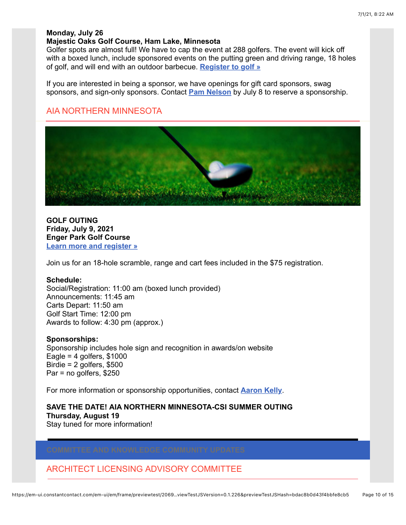#### **Monday, July 26 Majestic Oaks Golf Course, Ham Lake, Minnesota**

Golfer spots are almost full! We have to cap the event at 288 golfers. The event will kick off with a boxed lunch, include sponsored events on the putting green and driving range, 18 holes of golf, and will end with an outdoor barbecue. **[Register to golf »](https://www.aia-mn.org/event/aia-minneapolis-golf-outing-2/)**

If you are interested in being a sponsor, we have openings for gift card sponsors, swag sponsors, and sign-only sponsors. Contact **[Pam Nelson](mailto:nelson@aia-mn.org)** by July 8 to reserve a sponsorship.

# AIA NORTHERN MINNESOTA



**GOLF OUTING Friday, July 9, 2021 Enger Park Golf Course [Learn more and register »](https://www.aia-mn.org/event/aianmn-golf-outing/)**

Join us for an 18-hole scramble, range and cart fees included in the \$75 registration.

#### **Schedule:**

Social/Registration: 11:00 am (boxed lunch provided) Announcements: 11:45 am Carts Depart: 11:50 am Golf Start Time: 12:00 pm Awards to follow: 4:30 pm (approx.)

#### **Sponsorships:**

Sponsorship includes hole sign and recognition in awards/on website Eagle =  $4$  golfers, \$1000 Birdie = 2 golfers, \$500 Par = no golfers, \$250

For more information or sponsorship opportunities, contact **[Aaron Kelly](mailto:aaron.kelly@lhbcorp.com)**.

**SAVE THE DATE! AIA NORTHERN MINNESOTA-CSI SUMMER OUTING Thursday, August 19** Stay tuned for more information!

# ARCHITECT LICENSING ADVISORY COMMITTEE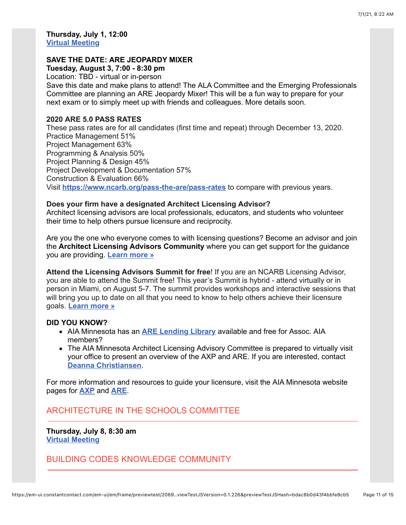#### **Thursday, July 1, 12:00 [Virtual Meeting](https://us02web.zoom.us/meeting/register/tZwkcOmvrDwtEtI4k5glNbDZrg6MOdZewUa4)**

#### **SAVE THE DATE: ARE JEOPARDY MIXER**

**Tuesday, August 3, 7:00 - 8:30 pm**

Location: TBD - virtual or in-person Save this date and make plans to attend! The ALA Committee and the Emerging Professionals Committee are planning an ARE Jeopardy Mixer! This will be a fun way to prepare for your next exam or to simply meet up with friends and colleagues. More details soon.

#### **2020 ARE 5.0 PASS RATES**

These pass rates are for all candidates (first time and repeat) through December 13, 2020. Practice Management 51% Project Management 63% Programming & Analysis 50% Project Planning & Design 45% Project Development & Documentation 57% Construction & Evaluation 66% Visit **<https://www.ncarb.org/pass-the-are/pass-rates>** to compare with previous years.

#### **Does your firm have a designated Architect Licensing Advisor?**

Architect licensing advisors are local professionals, educators, and students who volunteer their time to help others pursue licensure and reciprocity.

Are you the one who everyone comes to with licensing questions? Become an advisor and join the **Architect Licensing Advisors Community** where you can get support for the guidance you are providing. **[Learn more »](https://www.ncarb.org/get-involved/architect-licensing-advisors-community)**

**Attend the Licensing Advisors Summit for free**! If you are an NCARB Licensing Advisor, you are able to attend the Summit free! This year's Summit is hybrid - attend virtually or in person in Miami, on August 5-7. The summit provides workshops and interactive sessions that will bring you up to date on all that you need to know to help others achieve their licensure goals. **[Learn more »](https://web.cvent.com/event/a05b2517-1697-458c-89bd-1375b2b98ad0/summary)**

#### **DID YOU KNOW?**

- AIA Minnesota has an **[ARE Lending Library](https://files.constantcontact.com/5401b328001/4fc4dab3-9f31-4769-8576-1e2444c71dda.pdf)** available and free for Assoc. AIA members?
- The AIA Minnesota Architect Licensing Advisory Committee is prepared to virtually visit your office to present an overview of the AXP and ARE. If you are interested, contact **[Deanna Christiansen](mailto:christiansen@aia-mn.org)**.

For more information and resources to guide your licensure, visit the AIA Minnesota website pages for **[AXP](https://www.aia-mn.org/events/continuing-education/axp/)** and **[ARE](https://www.aia-mn.org/events/continuing-education/are/)**.

## ARCHITECTURE IN THE SCHOOLS COMMITTEE

**Thursday, July 8, 8:30 am [Virtual Meeting](https://us02web.zoom.us/meeting/register/tZEvfuGrrjIuGNNfEm2I2DTZCdfvx2uvhcyh)**

BUILDING CODES KNOWLEDGE COMMUNITY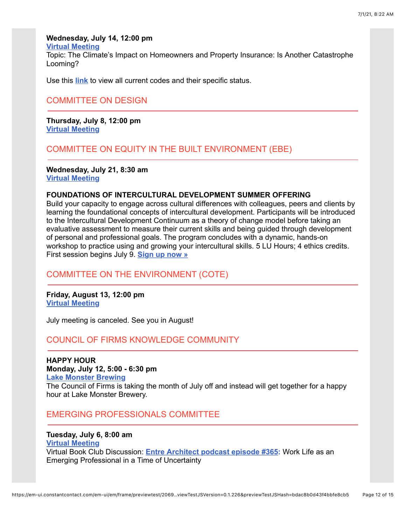#### **Wednesday, July 14, 12:00 pm**

#### **[Virtual Meeting](https://us02web.zoom.us/meeting/register/tZUtc-qspzMuE9EQ1vEKESbErzAdCOCCknEt)**

Topic: The Climate's Impact on Homeowners and Property Insurance: Is Another Catastrophe Looming?

Use this **[link](http://www.dli.mn.gov/business/codes-and-laws/2020-minnesota-state-building-codes)** to view all current codes and their specific status.

# COMMITTEE ON DESIGN

**Thursday, July 8, 12:00 pm [Virtual Meeting](https://us02web.zoom.us/meeting/register/tZckdOisrTMvGNVMRP_l7nO2b0i5w-h4lYlz)**

# COMMITTEE ON EQUITY IN THE BUILT ENVIRONMENT (EBE)

**Wednesday, July 21, 8:30 am [Virtual Meeting](https://us02web.zoom.us/meeting/register/tZcvd--vrjwuGN2WciFTkNHqOami-C5ojzCr)**

#### **FOUNDATIONS OF INTERCULTURAL DEVELOPMENT SUMMER OFFERING**

Build your capacity to engage across cultural differences with colleagues, peers and clients by learning the foundational concepts of intercultural development. Participants will be introduced to the Intercultural Development Continuum as a theory of change model before taking an evaluative assessment to measure their current skills and being guided through development of personal and professional goals. The program concludes with a dynamic, hands-on workshop to practice using and growing your intercultural skills. 5 LU Hours; 4 ethics credits. First session begins July 9. **[Sign up now »](https://www.aia-mn.org/get-involved/equity-profession/intercultural-development/)**

# COMMITTEE ON THE ENVIRONMENT (COTE)

**Friday, August 13, 12:00 pm [Virtual Meeting](https://us02web.zoom.us/meeting/register/tZYtd-CoqD0sE9zji_2VQzgrvVadpaQi5-Rp)**

July meeting is canceled. See you in August!

## COUNCIL OF FIRMS KNOWLEDGE COMMUNITY

**HAPPY HOUR Monday, July 12, 5:00 - 6:30 pm [Lake Monster Brewing](http://www.lakemonsterbrewing.com/)** The Council of Firms is taking the month of July off and instead will get together for a happy hour at Lake Monster Brewery.

## EMERGING PROFESSIONALS COMMITTEE

**Tuesday, July 6, 8:00 am [Virtual Meeting](https://us02web.zoom.us/meeting/register/tZ0pde6sqzgsEtVMeIjZvNWwlpA9Gj_atHvX)** Virtual Book Club Discussion: **[Entre Architect podcast episode #365:](https://gablmedia.com/show/entrearchitect-podcast-with-mark-r-lepage/)** Work Life as an Emerging Professional in a Time of Uncertainty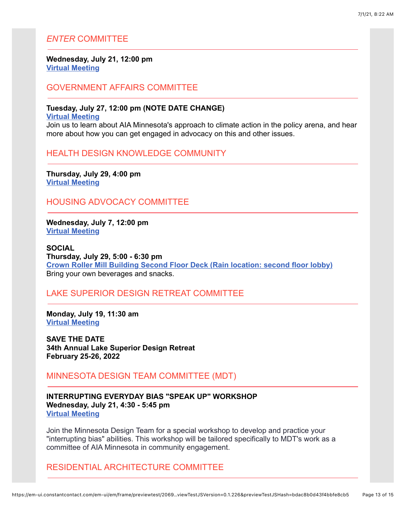## *ENTER* COMMITTEE

#### **Wednesday, July 21, 12:00 pm [Virtual Meeting](https://us02web.zoom.us/j/86713654452?pwd=YzdCZHNCRUJZbzBkUFlWVzFwMGdMZz09)**

## GOVERNMENT AFFAIRS COMMITTEE

#### **Tuesday, July 27, 12:00 pm (NOTE DATE CHANGE) [Virtual Meeting](https://us02web.zoom.us/meeting/register/tZAkdO6hqTwqHdCdyVLTGqmuQgD737XwpV9I)** Join us to learn about AIA Minnesota's approach to climate action in the policy arena, and hear more about how you can get engaged in advocacy on this and other issues.

## HEALTH DESIGN KNOWLEDGE COMMUNITY

**Thursday, July 29, 4:00 pm [Virtual Meeting](https://us02web.zoom.us/meeting/register/tZ0rdO6vpz0vH9cdkse40Mtjz7IW3GKBE2sF)**

## HOUSING ADVOCACY COMMITTEE

**Wednesday, July 7, 12:00 pm [Virtual Meeting](https://us02web.zoom.us/meeting/register/tZYlde2urzouGdVWgQyzLuNJ2BbaDWTufTQR)**

**SOCIAL Thursday, July 29, 5:00 - 6:30 pm [Crown Roller Mill Building Second Floor Deck \(Rain location: second floor lobby\)](https://www.google.com/maps/dir//crown+roller+mill+building/data=!4m6!4m5!1m1!4e2!1m2!1m1!1s0x52b32d62ea304785:0x613662e577497a8a?sa=X&ved=2ahUKEwiHvYDClbvxAhXTGs0KHa7YB5QQ9RcwGHoECDwQBA)** Bring your own beverages and snacks.

## LAKE SUPERIOR DESIGN RETREAT COMMITTEE

**Monday, July 19, 11:30 am [Virtual Meeting](https://zoom.us/meeting/register/tZIvd-6trToueOSCohaGmOTNC4gMjrow5A)**

**SAVE THE DATE 34th Annual Lake Superior Design Retreat February 25-26, 2022**

# MINNESOTA DESIGN TEAM COMMITTEE (MDT)

**INTERRUPTING EVERYDAY BIAS "SPEAK UP" WORKSHOP Wednesday, July 21, 4:30 - 5:45 pm [Virtual Meeting](https://us02web.zoom.us/meeting/register/tZMucO6trjIiGdQ1o2K8DW6cW1qpXpjgBC86)**

Join the Minnesota Design Team for a special workshop to develop and practice your "interrupting bias" abilities. This workshop will be tailored specifically to MDT's work as a committee of AIA Minnesota in community engagement.

# RESIDENTIAL ARCHITECTURE COMMITTEE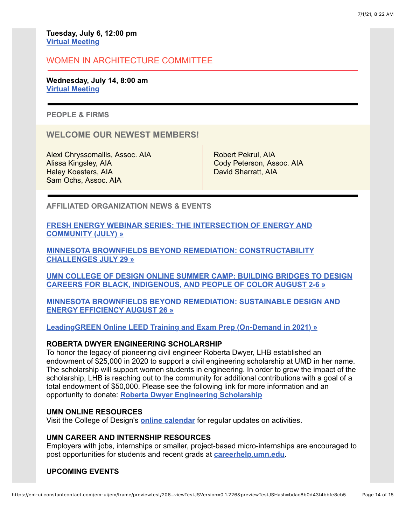**Tuesday, July 6, 12:00 pm [Virtual Meeting](https://us02web.zoom.us/meeting/register/tZIvc-qrqzsoHdGHwdGUlRwgSzvo8kRBSrCe)**

## WOMEN IN ARCHITECTURE COMMITTEE

**Wednesday, July 14, 8:00 am [Virtual Meeting](https://us02web.zoom.us/meeting/register/tZwvf-2orjotGd1q7D7llDZ9oYu7nq8bU9Hp)**

**PEOPLE & FIRMS**

**WELCOME OUR NEWEST MEMBERS!**

Alexi Chryssomallis, Assoc. AIA Alissa Kingsley, AIA Haley Koesters, AIA Sam Ochs, Assoc. AIA

Robert Pekrul, AIA Cody Peterson, Assoc. AIA David Sharratt, AIA

**AFFILIATED ORGANIZATION NEWS & EVENTS**

**[FRESH ENERGY WEBINAR SERIES: THE INTERSECTION OF ENERGY AND](https://fresh-energy.org/energy-community) COMMUNITY (JULY) »**

**[MINNESOTA BROWNFIELDS BEYOND REMEDIATION: CONSTRUCTABILITY](https://app.etapestry.com/onlineforms/MinnesotaBrownfields/beyond_remediation_webinar_series.html) CHALLENGES JULY 29 »**

**[UMN COLLEGE OF DESIGN ONLINE SUMMER CAMP: BUILDING BRIDGES TO DESIGN](https://events.tc.umn.edu/design/event/3636-design-online-summer-camp) CAREERS FOR BLACK, INDIGENOUS, AND PEOPLE OF COLOR AUGUST 2-6 »**

**[MINNESOTA BROWNFIELDS BEYOND REMEDIATION: SUSTAINABLE DESIGN AND](https://app.etapestry.com/onlineforms/MinnesotaBrownfields/beyond_remediation_webinar_series.html) ENERGY EFFICIENCY AUGUST 26 »**

**[LeadingGREEN Online LEED Training and Exam Prep \(On-Demand in 2021\) »](https://leadinggreen.com/online-leed-green-associate/)**

#### **ROBERTA DWYER ENGINEERING SCHOLARSHIP**

To honor the legacy of pioneering civil engineer Roberta Dwyer, LHB established an endowment of \$25,000 in 2020 to support a civil engineering scholarship at UMD in her name. The scholarship will support women students in engineering. In order to grow the impact of the scholarship, LHB is reaching out to the community for additional contributions with a goal of a total endowment of \$50,000. Please see the following link for more information and an opportunity to donate: **[Roberta Dwyer Engineering Scholarship](https://crowdfund.umn.edu/index.cfm?fuseaction=donorDrive.personalCampaign&participantID=1178)**

#### **UMN ONLINE RESOURCES**

Visit the College of Design's **[online calendar](https://events.tc.umn.edu/design/month/date/20210301)** for regular updates on activities.

#### **UMN CAREER AND INTERNSHIP RESOURCES**

Employers with jobs, internships or smaller, project-based micro-internships are encouraged to post opportunities for students and recent grads at **[careerhelp.umn.edu](http://r20.rs6.net/tn.jsp?f=001u6YgE6FFSPxRYzbSxAr_Unr31sDDwiNOuMUOF3vjYd60-FtuNwQJK6KJyxVqadIY5F3NhVEWtVnSGq1aM06R5YD80gKswFeXtEMpbIWspR3MIdoT1oXXvzTyzdtJ6SUT6USE_obpk-SkHrNv3X3k1dDHYOwFsDgF2Ga3icrDn4yehycxqJrBhQ==&c=JlxxpTw9Dyp0NcgYlcarSvaF9IEvCG7f9UaOJdrWQeMNlNhtGRaUiQ==&ch=ezCr-4h9tW8jaQXTLwRLX4K1pO37H26ApLPde-0cTqTusavDgI1eWA==)**.

#### **UPCOMING EVENTS**